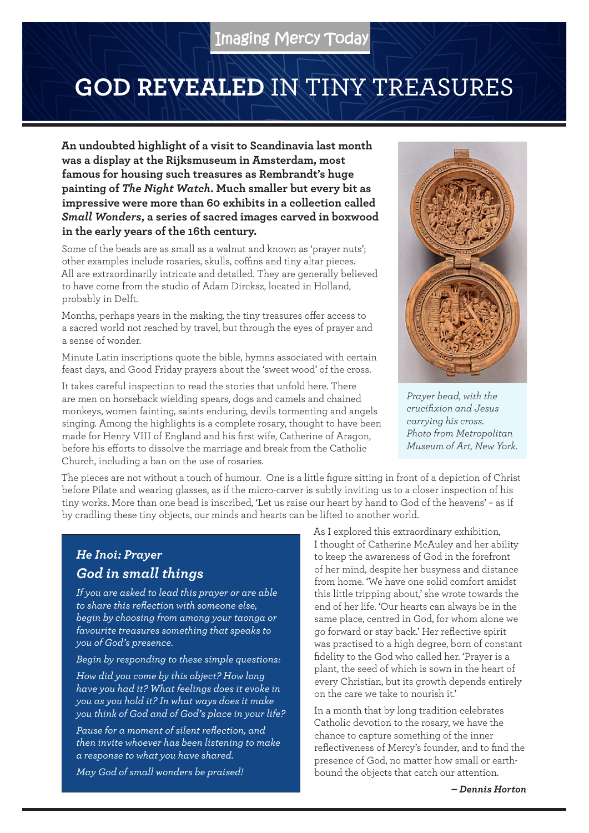## **GOD REVEALED** IN TINY TREASURES

**An undoubted highlight of a visit to Scandinavia last month was a display at the Rijksmuseum in Amsterdam, most famous for housing such treasures as Rembrandt's huge painting of** *The Night Watch***. Much smaller but every bit as impressive were more than 60 exhibits in a collection called**  *Small Wonders***, a series of sacred images carved in boxwood in the early years of the 16th century.**

Some of the beads are as small as a walnut and known as 'prayer nuts'; other examples include rosaries, skulls, coffins and tiny altar pieces. All are extraordinarily intricate and detailed. They are generally believed to have come from the studio of Adam Dircksz, located in Holland, probably in Delft.

Months, perhaps years in the making, the tiny treasures offer access to a sacred world not reached by travel, but through the eyes of prayer and a sense of wonder.

Minute Latin inscriptions quote the bible, hymns associated with certain feast days, and Good Friday prayers about the 'sweet wood' of the cross.

It takes careful inspection to read the stories that unfold here. There are men on horseback wielding spears, dogs and camels and chained monkeys, women fainting, saints enduring, devils tormenting and angels singing. Among the highlights is a complete rosary, thought to have been made for Henry VIII of England and his first wife, Catherine of Aragon, before his efforts to dissolve the marriage and break from the Catholic Church, including a ban on the use of rosaries.



*Prayer bead, with the crucifixion and Jesus carrying his cross. Photo from Metropolitan Museum of Art, New York.*

The pieces are not without a touch of humour. One is a little figure sitting in front of a depiction of Christ before Pilate and wearing glasses, as if the micro-carver is subtly inviting us to a closer inspection of his tiny works. More than one bead is inscribed, 'Let us raise our heart by hand to God of the heavens' – as if by cradling these tiny objects, our minds and hearts can be lifted to another world.

## *He Inoi: Prayer God in small things*

*If you are asked to lead this prayer or are able to share this reflection with someone else, begin by choosing from among your taonga or favourite treasures something that speaks to you of God's presence.*

*Begin by responding to these simple questions:*

*How did you come by this object? How long have you had it? What feelings does it evoke in you as you hold it? In what ways does it make you think of God and of God's place in your life?*

*Pause for a moment of silent reflection, and then invite whoever has been listening to make a response to what you have shared.*

*May God of small wonders be praised!*

As I explored this extraordinary exhibition, I thought of Catherine McAuley and her ability to keep the awareness of God in the forefront of her mind, despite her busyness and distance from home. 'We have one solid comfort amidst this little tripping about,' she wrote towards the end of her life. 'Our hearts can always be in the same place, centred in God, for whom alone we go forward or stay back.' Her reflective spirit was practised to a high degree, born of constant fidelity to the God who called her. 'Prayer is a plant, the seed of which is sown in the heart of every Christian, but its growth depends entirely on the care we take to nourish it.'

In a month that by long tradition celebrates Catholic devotion to the rosary, we have the chance to capture something of the inner reflectiveness of Mercy's founder, and to find the presence of God, no matter how small or earthbound the objects that catch our attention.